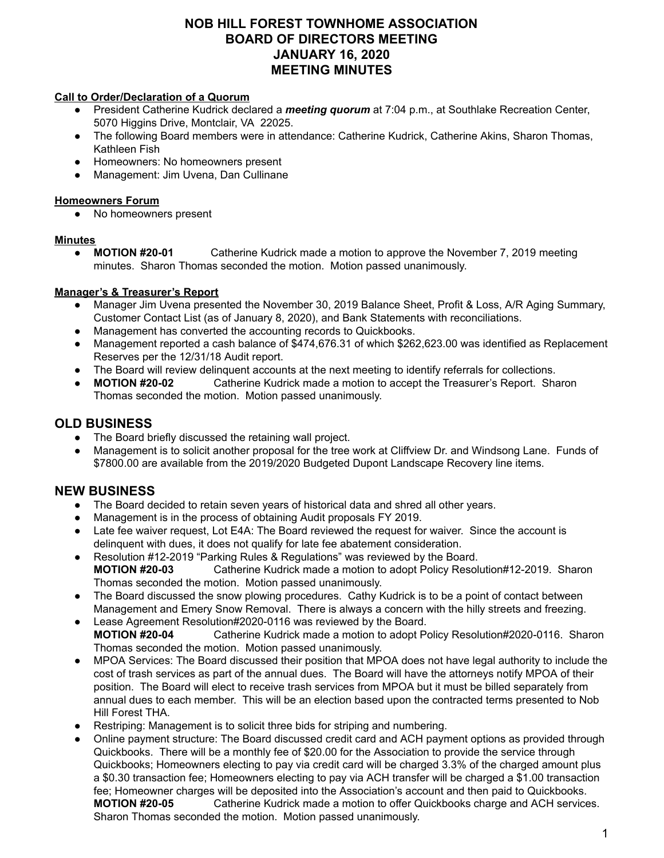## **NOB HILL FOREST TOWNHOME ASSOCIATION BOARD OF DIRECTORS MEETING JANUARY 16, 2020 MEETING MINUTES**

#### **Call to Order/Declaration of a Quorum**

- President Catherine Kudrick declared a *meeting quorum* at 7:04 p.m., at Southlake Recreation Center, 5070 Higgins Drive, Montclair, VA 22025.
- The following Board members were in attendance: Catherine Kudrick, Catherine Akins, Sharon Thomas, Kathleen Fish
- Homeowners: No homeowners present
- Management: Jim Uvena, Dan Cullinane

#### **Homeowners Forum**

No homeowners present

#### **Minutes**

● **MOTION #20-01** Catherine Kudrick made a motion to approve the November 7, 2019 meeting minutes. Sharon Thomas seconded the motion. Motion passed unanimously.

### **Manager's & Treasurer's Report**

- Manager Jim Uvena presented the November 30, 2019 Balance Sheet, Profit & Loss, A/R Aging Summary, Customer Contact List (as of January 8, 2020), and Bank Statements with reconciliations.
- Management has converted the accounting records to Quickbooks.
- Management reported a cash balance of \$474,676.31 of which \$262,623.00 was identified as Replacement Reserves per the 12/31/18 Audit report.
- The Board will review delinquent accounts at the next meeting to identify referrals for collections.
- **MOTION #20-02** Catherine Kudrick made a motion to accept the Treasurer's Report. Sharon Thomas seconded the motion. Motion passed unanimously.

## **OLD BUSINESS**

- The Board briefly discussed the retaining wall project.
- Management is to solicit another proposal for the tree work at Cliffview Dr. and Windsong Lane. Funds of \$7800.00 are available from the 2019/2020 Budgeted Dupont Landscape Recovery line items.

# **NEW BUSINESS**

- The Board decided to retain seven years of historical data and shred all other years.
- Management is in the process of obtaining Audit proposals FY 2019.
- Late fee waiver request, Lot E4A: The Board reviewed the request for waiver. Since the account is delinquent with dues, it does not qualify for late fee abatement consideration.
- Resolution #12-2019 "Parking Rules & Regulations" was reviewed by the Board. **MOTION #20-03** Catherine Kudrick made a motion to adopt Policy Resolution#12-2019. Sharon Thomas seconded the motion. Motion passed unanimously.
- The Board discussed the snow plowing procedures. Cathy Kudrick is to be a point of contact between Management and Emery Snow Removal. There is always a concern with the hilly streets and freezing.
- Lease Agreement Resolution#2020-0116 was reviewed by the Board. **MOTION #20-04** Catherine Kudrick made a motion to adopt Policy Resolution#2020-0116. Sharon Thomas seconded the motion. Motion passed unanimously.
- MPOA Services: The Board discussed their position that MPOA does not have legal authority to include the cost of trash services as part of the annual dues. The Board will have the attorneys notify MPOA of their position. The Board will elect to receive trash services from MPOA but it must be billed separately from annual dues to each member. This will be an election based upon the contracted terms presented to Nob Hill Forest THA.
- Restriping: Management is to solicit three bids for striping and numbering.
- Online payment structure: The Board discussed credit card and ACH payment options as provided through Quickbooks. There will be a monthly fee of \$20.00 for the Association to provide the service through Quickbooks; Homeowners electing to pay via credit card will be charged 3.3% of the charged amount plus a \$0.30 transaction fee; Homeowners electing to pay via ACH transfer will be charged a \$1.00 transaction fee; Homeowner charges will be deposited into the Association's account and then paid to Quickbooks. **MOTION #20-05** Catherine Kudrick made a motion to offer Quickbooks charge and ACH services. Sharon Thomas seconded the motion. Motion passed unanimously.